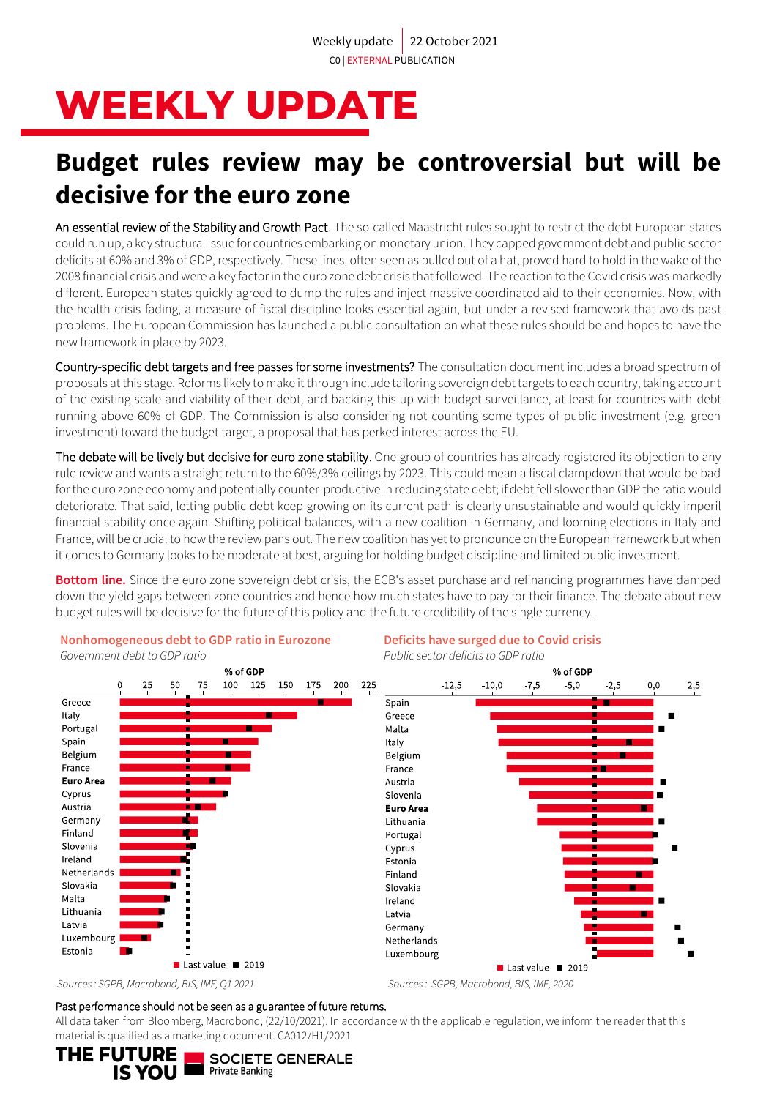# **WEEKLY UPDATE**

## **Budget rules review may be controversial but will be decisive for the euro zone**

An essential review of the Stability and Growth Pact. The so-called Maastricht rules sought to restrict the debt European states could run up, a key structural issue for countries embarking on monetary union. They capped government debt and public sector deficits at 60% and 3% of GDP, respectively. These lines, often seen as pulled out of a hat, proved hard to hold in the wake of the 2008 financial crisis and were a key factor in the euro zone debt crisis that followed. The reaction to the Covid crisis was markedly different. European states quickly agreed to dump the rules and inject massive coordinated aid to their economies. Now, with the health crisis fading, a measure of fiscal discipline looks essential again, but under a revised framework that avoids past problems. The European Commission has launched a public consultation on what these rules should be and hopes to have the new framework in place by 2023.

Country-specific debt targets and free passes for some investments? The consultation document includes a broad spectrum of proposals at this stage. Reforms likely to make it through include tailoring sovereign debt targets to each country, taking account of the existing scale and viability of their debt, and backing this up with budget surveillance, at least for countries with debt running above 60% of GDP. The Commission is also considering not counting some types of public investment (e.g. green investment) toward the budget target, a proposal that has perked interest across the EU.

The debate will be lively but decisive for euro zone stability. One group of countries has already registered its objection to any rule review and wants a straight return to the 60%/3% ceilings by 2023. This could mean a fiscal clampdown that would be bad for the euro zone economy and potentially counter-productive in reducing state debt; if debt fell slower than GDP the ratio would deteriorate. That said, letting public debt keep growing on its current path is clearly unsustainable and would quickly imperil financial stability once again. Shifting political balances, with a new coalition in Germany, and looming elections in Italy and France, will be crucial to how the review pans out. The new coalition has yet to pronounce on the European framework but when it comes to Germany looks to be moderate at best, arguing for holding budget discipline and limited public investment.

**Bottom line.** Since the euro zone sovereign debt crisis, the ECB's asset purchase and refinancing programmes have damped down the yield gaps between zone countries and hence how much states have to pay for their finance. The debate about new budget rules will be decisive for the future of this policy and the future credibility of the single currency.



#### Past performance should not be seen as a guarantee of future returns.

All data taken from Bloomberg, Macrobond, (22/10/2021). In accordance with the applicable regulation, we inform the reader that this material is qualified as a marketing document. CA012/H1/2021

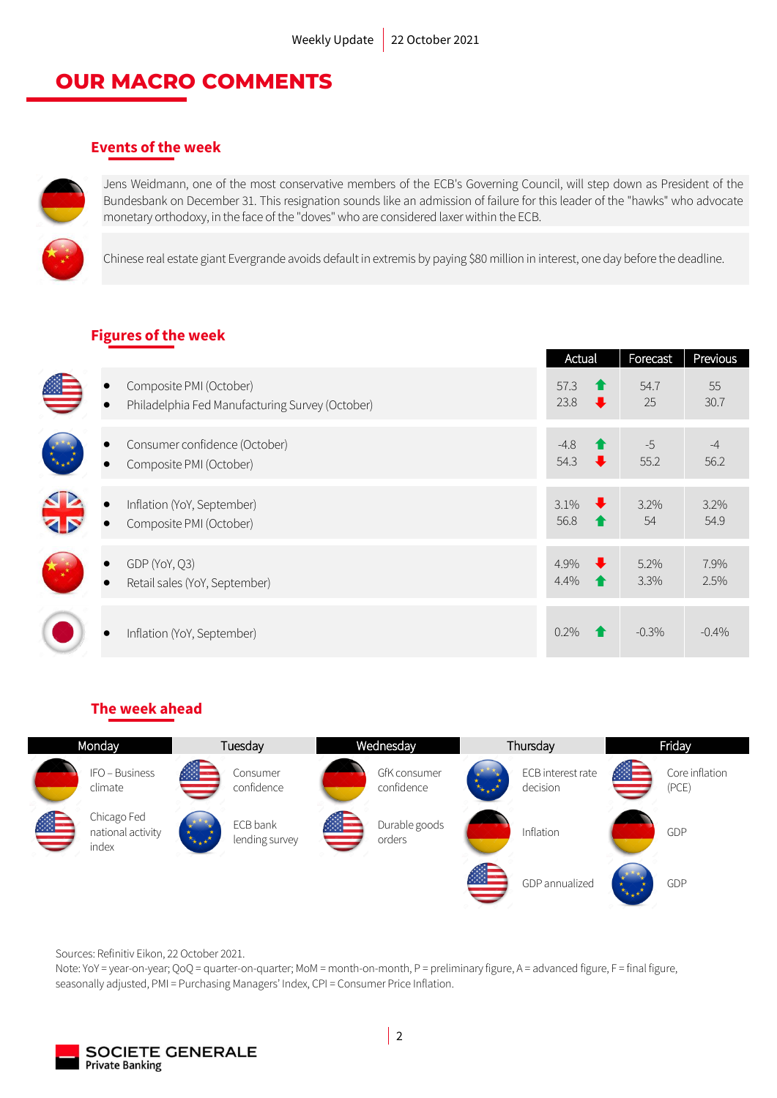### **OUR MACRO COMMENTS**

### **Events of the week**



Jens Weidmann, one of the most conservative members of the ECB's Governing Council, will step down as President of the Bundesbank on December 31. This resignation sounds like an admission of failure for this leader of the "hawks" who advocate monetary orthodoxy, in the face of the "doves" who are considered laxer within the ECB.

Chinese real estate giant Evergrande avoids default in extremis by paying \$80 million in interest, one day before the deadline.

### **Figures of the week**

|                                                                            | Actual                                            | Forecast      | Previous     |
|----------------------------------------------------------------------------|---------------------------------------------------|---------------|--------------|
| Composite PMI (October)<br>Philadelphia Fed Manufacturing Survey (October) | 57.3<br>Ŧ<br>23.8<br>$\ddot{\phantom{0}}$         | 54.7<br>25    | 55<br>30.7   |
| Consumer confidence (October)<br>Composite PMI (October)                   | $-4.8$<br>54.3<br>$\overline{\phantom{a}}$        | $-5$<br>55.2  | $-4$<br>56.2 |
| Inflation (YoY, September)<br>Composite PMI (October)                      | $\ddot{\phantom{0}}$<br>$3.1\%$<br>56.8           | $3.2\%$<br>54 | 3.2%<br>54.9 |
| GDP (YoY, Q3)<br>Retail sales (YoY, September)                             | $\ddot{\phantom{1}}$<br>4.9%<br>4.4%<br>$\bullet$ | 5.2%<br>3.3%  | 7.9%<br>2.5% |
| Inflation (YoY, September)                                                 | $0.2\%$                                           | $-0.3\%$      | $-0.4\%$     |

### **The week ahead**



Sources: Refinitiv Eikon, 22 October 2021.

Note: YoY = year-on-year; QoQ = quarter-on-quarter; MoM = month-on-month, P = preliminary figure, A = advanced figure, F = final figure, seasonally adjusted, PMI = Purchasing Managers' Index, CPI = Consumer Price Inflation.

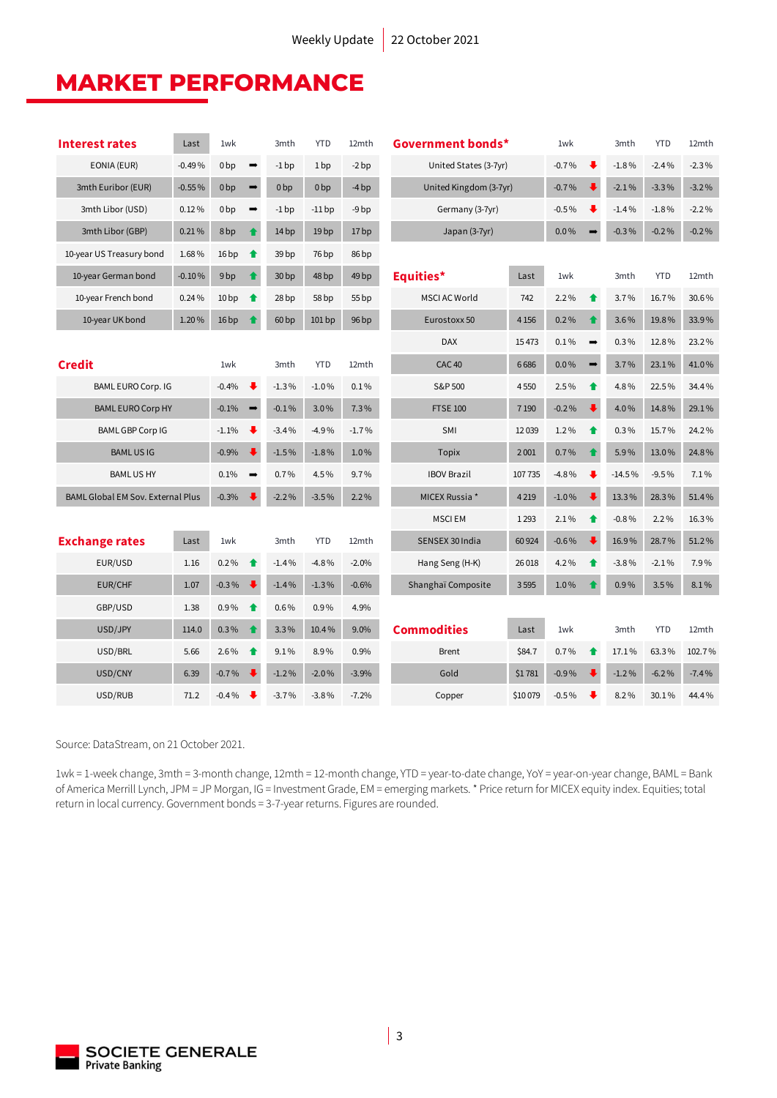### **MARKET PERFORMANCE**

| <b>Interest rates</b>                    | Last     | 1wk              |                                 | 3mth             | <b>YTD</b>       | 12mth            | Government bonds*      |         | 1wk     |                  | 3mth     | <b>YTD</b> | 12mth   |
|------------------------------------------|----------|------------------|---------------------------------|------------------|------------------|------------------|------------------------|---------|---------|------------------|----------|------------|---------|
| EONIA (EUR)                              | $-0.49%$ | 0 <sub>bp</sub>  | $\rightarrow$                   | $-1$ bp          | 1 <sub>bp</sub>  | $-2bp$           | United States (3-7yr)  |         | $-0.7%$ |                  | $-1.8%$  | $-2.4%$    | $-2.3%$ |
| 3mth Euribor (EUR)                       | $-0.55%$ | 0 <sub>bp</sub>  | $\rightarrow$                   | 0 <sub>bp</sub>  | 0 <sub>bp</sub>  | $-4bp$           | United Kingdom (3-7yr) |         | $-0.7%$ |                  | $-2.1%$  | $-3.3%$    | $-3.2%$ |
| 3mth Libor (USD)                         | 0.12%    | 0 <sub>bp</sub>  | $\qquad \qquad \Longrightarrow$ | $-1$ bp          | $-11$ bp         | $-9bp$           | Germany (3-7yr)        |         | $-0.5%$ |                  | $-1.4%$  | $-1.8%$    | $-2.2%$ |
| 3mth Libor (GBP)                         | 0.21%    | 8 bp             | $\bullet$                       | 14 bp            | 19 <sub>bp</sub> | 17 bp            | Japan (3-7yr)          |         | $0.0\%$ |                  | $-0.3%$  | $-0.2%$    | $-0.2%$ |
| 10-year US Treasury bond                 | 1.68%    | 16bp             | $\bullet$                       | 39 bp            | 76 bp            | 86 bp            |                        |         |         |                  |          |            |         |
| 10-year German bond                      | $-0.10%$ | 9 <sub>bp</sub>  | ↟                               | 30 <sub>bp</sub> | 48 bp            | 49 <sub>bp</sub> | Equities*              | Last    | 1wk     |                  | 3mth     | <b>YTD</b> | 12mth   |
| 10-year French bond                      | 0.24%    | 10 <sub>bp</sub> | $\bullet$                       | 28 bp            | 58 bp            | 55 bp            | <b>MSCI AC World</b>   | 742     | 2.2%    | $\bullet$        | 3.7%     | 16.7%      | 30.6%   |
| 10-year UK bond                          | 1.20%    | 16bp             | ♠                               | 60bp             | 101bp            | 96bp             | Eurostoxx 50           | 4 1 5 6 | 0.2%    | ♦                | 3.6%     | 19.8%      | 33.9%   |
|                                          |          |                  |                                 |                  |                  |                  | <b>DAX</b>             | 15473   | 0.1%    | $\Rightarrow$    | 0.3%     | 12.8%      | 23.2%   |
| <b>Credit</b>                            |          | 1wk              |                                 | 3mth             | <b>YTD</b>       | 12mth            | <b>CAC 40</b>          | 6686    | $0.0\%$ | $\rightarrow$    | 3.7%     | 23.1%      | 41.0%   |
| <b>BAML EURO Corp. IG</b>                |          | $-0.4%$          | ₩                               | $-1.3%$          | $-1.0%$          | 0.1%             | S&P 500                | 4550    | 2.5%    | $\bullet$        | 4.8%     | 22.5%      | 34.4%   |
| <b>BAML EURO Corp HY</b>                 |          | $-0.1%$          | $\rightarrow$                   | $-0.1%$          | 3.0%             | 7.3%             | <b>FTSE 100</b>        | 7 1 9 0 | $-0.2%$ |                  | 4.0%     | 14.8%      | 29.1%   |
| <b>BAML GBP Corp IG</b>                  |          | $-1.1%$          | ₩                               | $-3.4%$          | $-4.9%$          | $-1.7%$          | SMI                    | 12039   | 1.2%    | $\blacktriangle$ | 0.3%     | 15.7%      | 24.2%   |
| <b>BAMLUSIG</b>                          |          | $-0.9%$          | ∙                               | $-1.5%$          | $-1.8%$          | 1.0%             | Topix                  | 2001    | 0.7%    |                  | 5.9%     | 13.0%      | 24.8%   |
| <b>BAMLUSHY</b>                          |          | 0.1%             | $\rightarrow$                   | 0.7%             | 4.5%             | 9.7%             | <b>IBOV Brazil</b>     | 107735  | $-4.8%$ | ⋅                | $-14.5%$ | $-9.5%$    | 7.1%    |
| <b>BAML Global EM Sov. External Plus</b> |          | $-0.3%$          |                                 | $-2.2%$          | $-3.5%$          | 2.2%             | MICEX Russia *         | 4219    | $-1.0%$ |                  | 13.3%    | 28.3%      | 51.4%   |
|                                          |          |                  |                                 |                  |                  |                  | <b>MSCIEM</b>          | 1 2 9 3 | 2.1%    | ♠                | $-0.8%$  | 2.2%       | 16.3%   |
| <b>Exchange rates</b>                    | Last     | 1wk              |                                 | 3mth             | <b>YTD</b>       | 12mth            | SENSEX 30 India        | 60 9 24 | $-0.6%$ |                  | 16.9%    | 28.7%      | 51.2%   |
| EUR/USD                                  | 1.16     | $0.2\%$          | ↟                               | $-1.4%$          | $-4.8%$          | $-2.0%$          | Hang Seng (H-K)        | 26 018  | 4.2%    | ♠                | $-3.8%$  | $-2.1%$    | 7.9%    |
| <b>EUR/CHF</b>                           | 1.07     | $-0.3%$          | ┺                               | $-1.4%$          | $-1.3%$          | $-0.6%$          | Shanghaï Composite     | 3595    | 1.0%    |                  | 0.9%     | 3.5%       | 8.1%    |
| GBP/USD                                  | 1.38     | 0.9%             | $\bullet$                       | 0.6%             | 0.9%             | 4.9%             |                        |         |         |                  |          |            |         |
| USD/JPY                                  | 114.0    | 0.3%             | ♠                               | 3.3%             | 10.4%            | 9.0%             | <b>Commodities</b>     | Last    | 1wk     |                  | 3mth     | <b>YTD</b> | 12mth   |
| USD/BRL                                  | 5.66     | 2.6%             | ↟                               | 9.1%             | 8.9%             | 0.9%             | <b>Brent</b>           | \$84.7  | 0.7%    | $\bullet$        | 17.1%    | 63.3%      | 102.7%  |
| USD/CNY                                  | 6.39     | $-0.7%$          |                                 | $-1.2%$          | $-2.0%$          | $-3.9%$          | Gold                   | \$1781  | $-0.9%$ |                  | $-1.2%$  | $-6.2%$    | $-7.4%$ |
| USD/RUB                                  | 71.2     | $-0.4%$          | ⋅                               | $-3.7%$          | $-3.8%$          | $-7.2%$          | Copper                 | \$10079 | $-0.5%$ |                  | 8.2%     | 30.1%      | 44.4%   |

Source: DataStream, on 21 October 2021.

1wk = 1-week change, 3mth = 3-month change, 12mth = 12-month change, YTD = year-to-date change, YoY = year-on-year change, BAML = Bank of America Merrill Lynch, JPM = JP Morgan, IG = Investment Grade, EM = emerging markets. \* Price return for MICEX equity index. Equities; total return in local currency. Government bonds = 3-7-year returns. Figures are rounded.

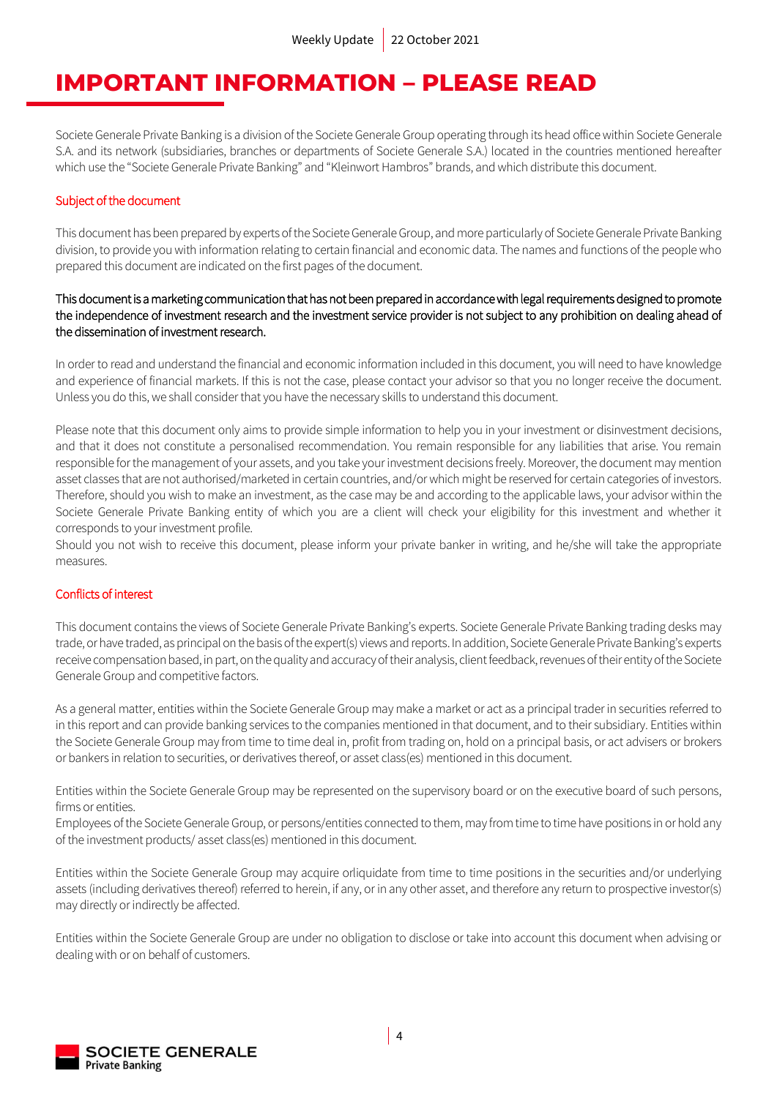### **IMPORTANT INFORMATION – PLEASE READ**

Societe Generale Private Banking is a division of the Societe Generale Group operating through its head office within Societe Generale S.A. and its network (subsidiaries, branches or departments of Societe Generale S.A.) located in the countries mentioned hereafter which use the "Societe Generale Private Banking" and "Kleinwort Hambros" brands, and which distribute this document.

### Subject of the document

This document has been prepared by experts of the Societe Generale Group, and more particularly of Societe Generale Private Banking division, to provide you with information relating to certain financial and economic data. The names and functions of the people who prepared this document are indicated on the first pages of the document.

### This document is a marketing communication that has not been prepared in accordance with legal requirements designed to promote the independence of investment research and the investment service provider is not subject to any prohibition on dealing ahead of the dissemination of investment research.

In order to read and understand the financial and economic information included in this document, you will need to have knowledge and experience of financial markets. If this is not the case, please contact your advisor so that you no longer receive the document. Unless you do this, we shall consider that you have the necessary skills to understand this document.

Please note that this document only aims to provide simple information to help you in your investment or disinvestment decisions, and that it does not constitute a personalised recommendation. You remain responsible for any liabilities that arise. You remain responsible for the management of your assets, and you take your investment decisions freely. Moreover, the document may mention asset classes that are not authorised/marketed in certain countries, and/or which might be reserved for certain categories of investors. Therefore, should you wish to make an investment, as the case may be and according to the applicable laws, your advisor within the Societe Generale Private Banking entity of which you are a client will check your eligibility for this investment and whether it corresponds to your investment profile.

Should you not wish to receive this document, please inform your private banker in writing, and he/she will take the appropriate measures.

### Conflicts of interest

This document contains the views of Societe Generale Private Banking's experts. Societe Generale Private Banking trading desks may trade, or have traded, as principal on the basis of the expert(s) views and reports. In addition, Societe Generale Private Banking's experts receive compensation based, in part, on the quality and accuracy of their analysis, client feedback, revenues of their entity of the Societe Generale Group and competitive factors.

As a general matter, entities within the Societe Generale Group may make a market or act as a principal trader in securities referred to in this report and can provide banking services to the companies mentioned in that document, and to their subsidiary. Entities within the Societe Generale Group may from time to time deal in, profit from trading on, hold on a principal basis, or act advisers or brokers or bankers in relation to securities, or derivatives thereof, or asset class(es) mentioned in this document.

Entities within the Societe Generale Group may be represented on the supervisory board or on the executive board of such persons, firms or entities.

Employees of the Societe Generale Group, or persons/entities connected to them, may from time to time have positions in or hold any of the investment products/ asset class(es) mentioned in this document.

Entities within the Societe Generale Group may acquire orliquidate from time to time positions in the securities and/or underlying assets (including derivatives thereof) referred to herein, if any, or in any other asset, and therefore any return to prospective investor(s) may directly or indirectly be affected.

Entities within the Societe Generale Group are under no obligation to disclose or take into account this document when advising or dealing with or on behalf of customers.

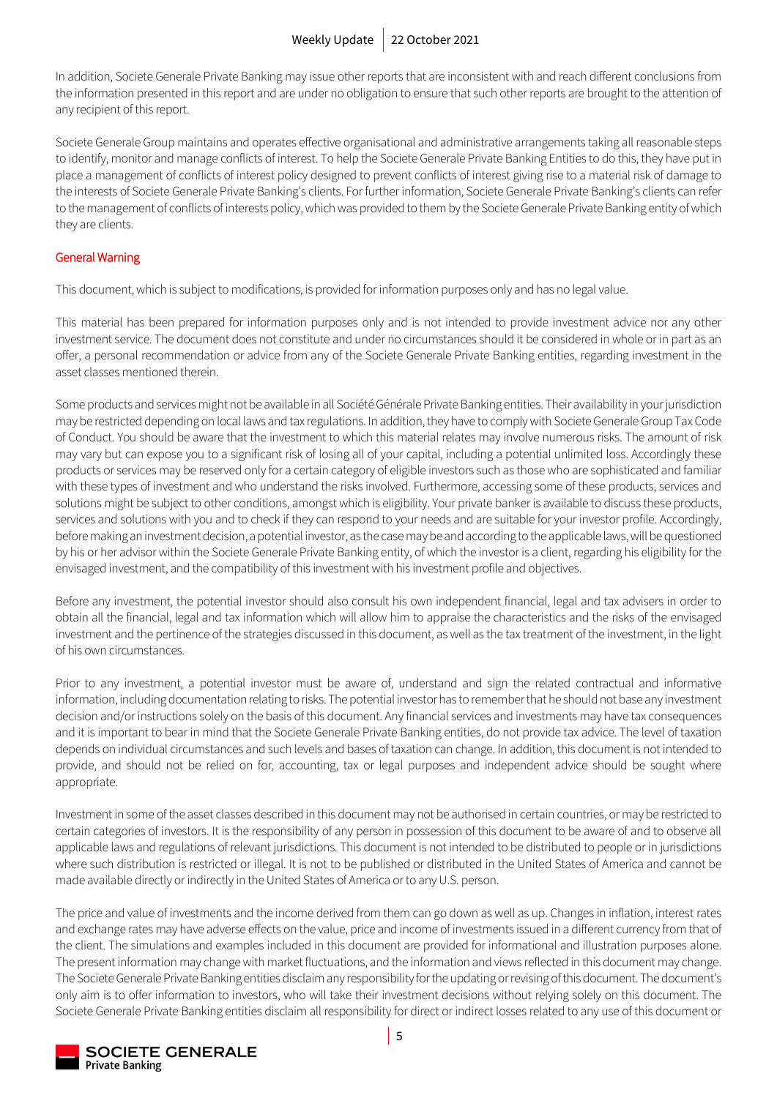In addition, Societe Generale Private Banking may issue other reports that are inconsistent with and reach different conclusions from the information presented in this report and are under no obligation to ensure that such other reports are brought to the attention of any recipient of this report.

Societe Generale Group maintains and operates effective organisational and administrative arrangements taking all reasonable steps to identify, monitor and manage conflicts of interest. To help the Societe Generale Private Banking Entities to do this, they have put in place a management of conflicts of interest policy designed to prevent conflicts of interest giving rise to a material risk of damage to the interests of Societe Generale Private Banking's clients. For further information, Societe Generale Private Banking's clients can refer to the management of conflicts of interests policy, which was provided to them by the Societe Generale Private Banking entity of which they are clients.

### General Warning

This document, which is subject to modifications, is provided for information purposes only and has no legal value.

This material has been prepared for information purposes only and is not intended to provide investment advice nor any other investment service. The document does not constitute and under no circumstances should it be considered in whole or in part as an offer, a personal recommendation or advice from any of the Societe Generale Private Banking entities, regarding investment in the asset classes mentioned therein.

Some products and services might not be available in all Société Générale Private Banking entities. Their availability in your jurisdiction may be restricted depending on local laws and tax regulations. In addition, they have to comply with Societe Generale Group Tax Code of Conduct. You should be aware that the investment to which this material relates may involve numerous risks. The amount of risk may vary but can expose you to a significant risk of losing all of your capital, including a potential unlimited loss. Accordingly these products or services may be reserved only for a certain category of eligible investors such as those who are sophisticated and familiar with these types of investment and who understand the risks involved. Furthermore, accessing some of these products, services and solutions might be subject to other conditions, amongst which is eligibility. Your private banker is available to discuss these products, services and solutions with you and to check if they can respond to your needs and are suitable for your investor profile. Accordingly, before making an investment decision, a potential investor, as the case may be and according to the applicable laws, will be questioned by his or her advisor within the Societe Generale Private Banking entity, of which the investor is a client, regarding his eligibility for the envisaged investment, and the compatibility of this investment with his investment profile and objectives.

Before any investment, the potential investor should also consult his own independent financial, legal and tax advisers in order to obtain all the financial, legal and tax information which will allow him to appraise the characteristics and the risks of the envisaged investment and the pertinence of the strategies discussed in this document, as well as the tax treatment of the investment, in the light of his own circumstances.

Prior to any investment, a potential investor must be aware of, understand and sign the related contractual and informative information, including documentation relating to risks. The potential investor has to remember that he should not base any investment decision and/or instructions solely on the basis of this document. Any financial services and investments may have tax consequences and it is important to bear in mind that the Societe Generale Private Banking entities, do not provide tax advice. The level of taxation depends on individual circumstances and such levels and bases of taxation can change. In addition, this document is not intended to provide, and should not be relied on for, accounting, tax or legal purposes and independent advice should be sought where appropriate.

Investment in some of the asset classes described in this document may not be authorised in certain countries, or may be restricted to certain categories of investors. It is the responsibility of any person in possession of this document to be aware of and to observe all applicable laws and regulations of relevant jurisdictions. This document is not intended to be distributed to people or in jurisdictions where such distribution is restricted or illegal. It is not to be published or distributed in the United States of America and cannot be made available directly or indirectly in the United States of America or to any U.S. person.

The price and value of investments and the income derived from them can go down as well as up. Changes in inflation, interest rates and exchange rates may have adverse effects on the value, price and income of investments issued in a different currency from that of the client. The simulations and examples included in this document are provided for informational and illustration purposes alone. The present information may change with market fluctuations, and the information and views reflected in this document may change. The Societe Generale Private Banking entities disclaim any responsibility for the updating or revising of this document. The document's only aim is to offer information to investors, who will take their investment decisions without relying solely on this document. The Societe Generale Private Banking entities disclaim all responsibility for direct or indirect losses related to any use of this document or

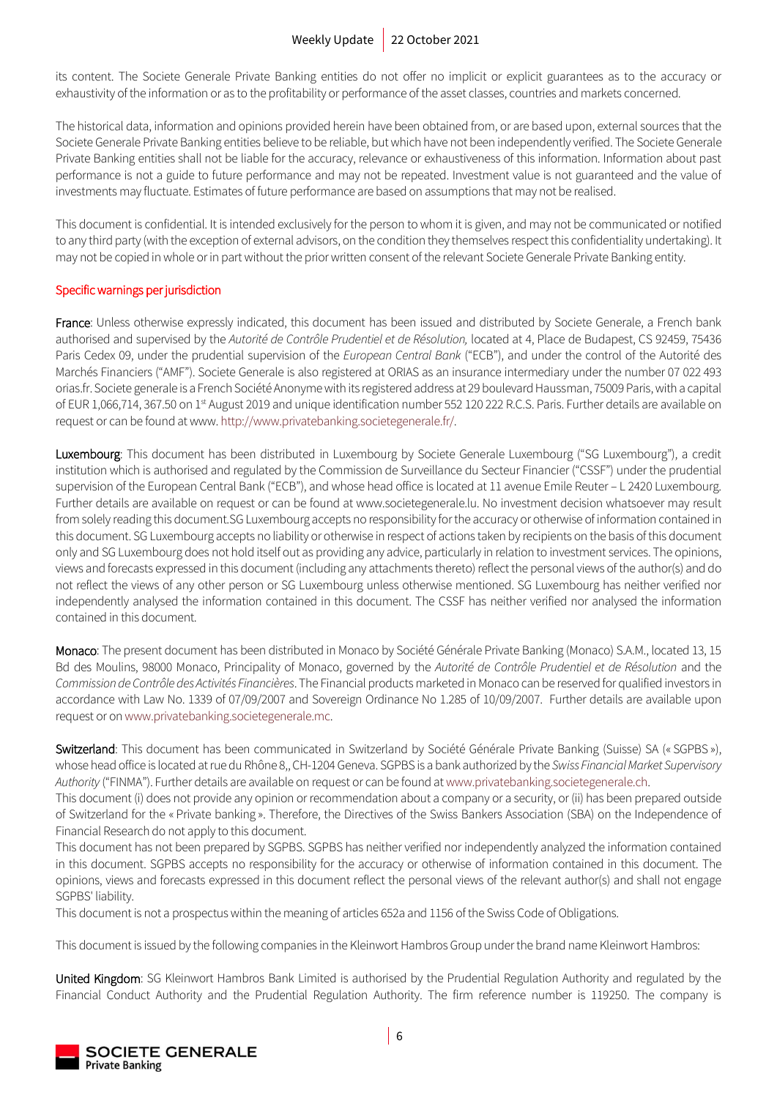its content. The Societe Generale Private Banking entities do not offer no implicit or explicit guarantees as to the accuracy or exhaustivity of the information or as to the profitability or performance of the asset classes, countries and markets concerned.

The historical data, information and opinions provided herein have been obtained from, or are based upon, external sources that the Societe Generale Private Banking entities believe to be reliable, but which have not been independently verified. The Societe Generale Private Banking entities shall not be liable for the accuracy, relevance or exhaustiveness of this information. Information about past performance is not a guide to future performance and may not be repeated. Investment value is not guaranteed and the value of investments may fluctuate. Estimates of future performance are based on assumptions that may not be realised.

This document is confidential. It is intended exclusively for the person to whom it is given, and may not be communicated or notified to any third party (with the exception of external advisors, on the condition they themselves respect this confidentiality undertaking). It may not be copied in whole or in part without the prior written consent of the relevant Societe Generale Private Banking entity.

### Specific warnings per jurisdiction

France: Unless otherwise expressly indicated, this document has been issued and distributed by Societe Generale, a French bank authorised and supervised by the *Autorité de Contrôle Prudentiel et de Résolution,* located at 4, Place de Budapest, CS 92459, 75436 Paris Cedex 09, under the prudential supervision of the *European Central Bank* ("ECB"), and under the control of the Autorité des Marchés Financiers ("AMF"). Societe Generale is also registered at ORIAS as an insurance intermediary under the number 07 022 493 orias.fr. Societe generale is a French Société Anonyme with its registered address at 29 boulevard Haussman, 75009 Paris, with a capital of EUR 1,066,714, 367.50 on 1<sup>st</sup> August 2019 and unique identification number 552 120 222 R.C.S. Paris. Further details are available on request or can be found at www[. http://www.privatebanking.societegenerale.fr/.](http://www.privatebanking.societegenerale.fr/)

Luxembourg: This document has been distributed in Luxembourg by Societe Generale Luxembourg ("SG Luxembourg"), a credit institution which is authorised and regulated by the Commission de Surveillance du Secteur Financier ("CSSF") under the prudential supervision of the European Central Bank ("ECB"), and whose head office is located at 11 avenue Emile Reuter – L 2420 Luxembourg. Further details are available on request or can be found at www.societegenerale.lu. No investment decision whatsoever may result from solely reading this document.SG Luxembourg accepts no responsibility for the accuracy or otherwise of information contained in this document. SG Luxembourg accepts no liability or otherwise in respect of actions taken by recipients on the basis of this document only and SG Luxembourg does not hold itself out as providing any advice, particularly in relation to investment services. The opinions, views and forecasts expressed in this document (including any attachments thereto) reflect the personal views of the author(s) and do not reflect the views of any other person or SG Luxembourg unless otherwise mentioned. SG Luxembourg has neither verified nor independently analysed the information contained in this document. The CSSF has neither verified nor analysed the information contained in this document.

Monaco: The present document has been distributed in Monaco by Société Générale Private Banking (Monaco) S.A.M., located 13, 15 Bd des Moulins, 98000 Monaco, Principality of Monaco, governed by the *Autorité de Contrôle Prudentiel et de Résolution* and the *Commission de Contrôle des Activités Financières*. The Financial products marketed in Monaco can be reserved for qualified investors in accordance with Law No. 1339 of 07/09/2007 and Sovereign Ordinance No 1.285 of 10/09/2007. Further details are available upon request or o[n www.privatebanking.societegenerale.mc.](http://www.privatebanking.societegenerale.mc/)

Switzerland: This document has been communicated in Switzerland by Société Générale Private Banking (Suisse) SA (« SGPBS »), whose head office is located at rue du Rhône 8,, CH-1204 Geneva. SGPBS is a bank authorized by the *Swiss Financial Market Supervisory Authority* ("FINMA"). Further details are available on request or can be found at [www.privatebanking.societegenerale.ch.](http://www.privatebanking.societegenerale.ch/)

This document (i) does not provide any opinion or recommendation about a company or a security, or (ii) has been prepared outside of Switzerland for the « Private banking ». Therefore, the Directives of the Swiss Bankers Association (SBA) on the Independence of Financial Research do not apply to this document.

This document has not been prepared by SGPBS. SGPBS has neither verified nor independently analyzed the information contained in this document. SGPBS accepts no responsibility for the accuracy or otherwise of information contained in this document. The opinions, views and forecasts expressed in this document reflect the personal views of the relevant author(s) and shall not engage SGPBS' liability.

This document is not a prospectus within the meaning of articles 652a and 1156 of the Swiss Code of Obligations.

This document is issued by the following companies in the Kleinwort Hambros Group under the brand name Kleinwort Hambros:

United Kingdom: SG Kleinwort Hambros Bank Limited is authorised by the Prudential Regulation Authority and regulated by the Financial Conduct Authority and the Prudential Regulation Authority. The firm reference number is 119250. The company is